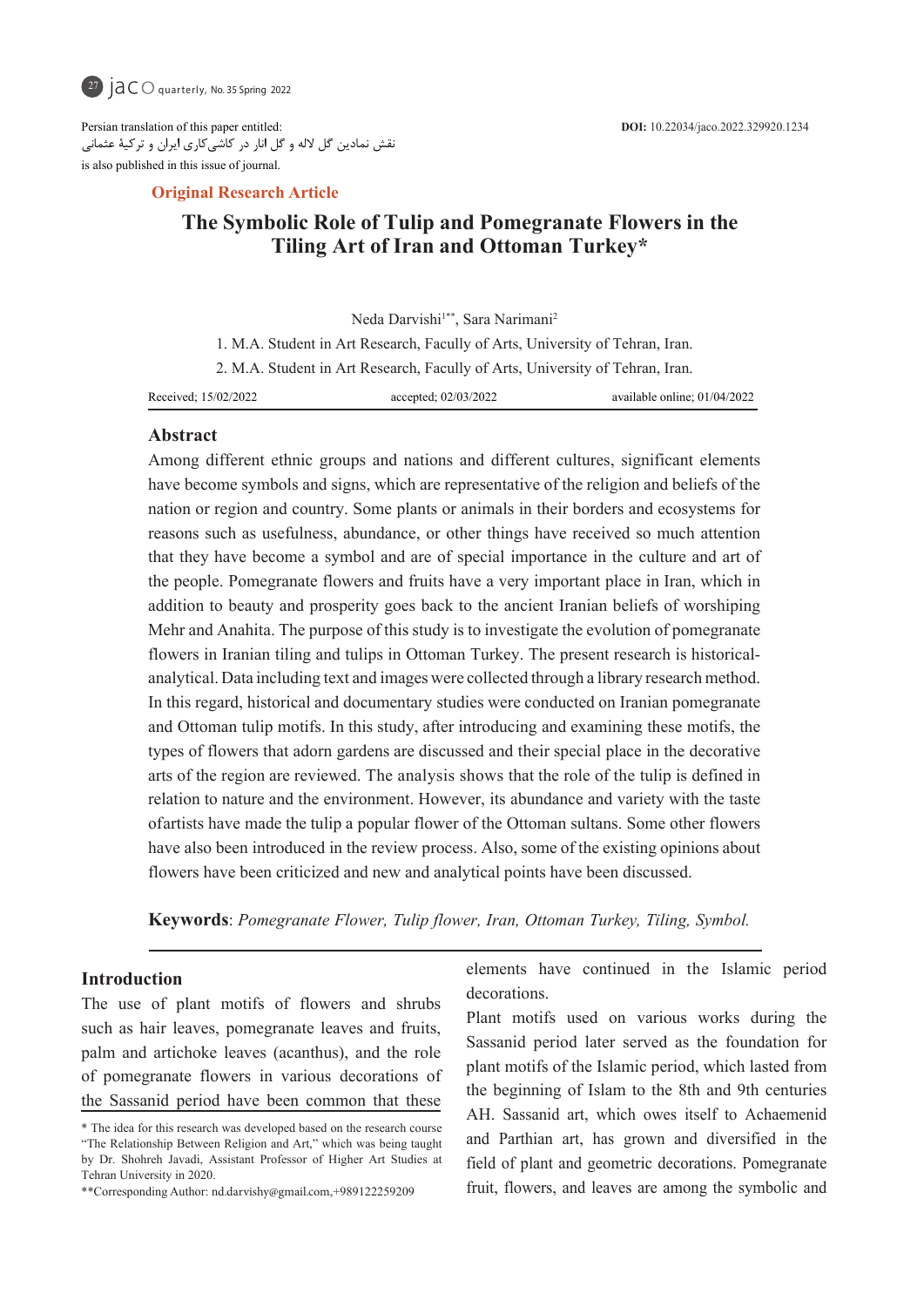

Persian translation of this paper entitled: نقش نمادین گل الله و گل انار در کاشیکاری ایران و ترکیۀ عثمانی is also published in this issue of journal.

#### **Article Research Article**

# **The Symbolic Role of Tulip and Pomegranate Flowers in the** Tiling Art of Iran and Ottoman Turkey\*

 01/04/2022 ;online available 02/03/2022; accepted 15/02/2022; Received Neda Darvishi<sup>1\*\*</sup>, Sara Narimani<sup>2</sup> 1. M.A. Student in Art Research, Facully of Arts, University of Tehran, Iran. 2. M.A. Student in Art Research, Facully of Arts, University of Tehran, Iran.

**Abstract**

Among different ethnic groups and nations and different cultures, significant elements have become symbols and signs, which are representative of the religion and beliefs of the nation or region and country. Some plants or animals in their borders and ecosystems for reasons such as usefulness, abundance, or other things have received so much attention that they have become a symbol and are of special importance in the culture and art of the people. Pomegranate flowers and fruits have a very important place in Iran, which in addition to beauty and prosperity goes back to the ancient Iranian beliefs of worshiping Mehr and Anahita. The purpose of this study is to investigate the evolution of pomegranate analytical. Data including text and images were collected through a library research method. flowers in Iranian tiling and tulips in Ottoman Turkey. The present research is historical-In this regard, historical and documentary studies were conducted on Iranian pomegranate and Ottoman tulip motifs. In this study, after introducing and examining these motifs, the types of flowers that adorn gardens are discussed and their special place in the decorative arts of the region are reviewed. The analysis shows that the role of the tulip is defined in relation to nature and the environment. However, its abundance and variety with the taste of artists have made the tulip a popular flower of the Ottoman sultans. Some other flowers have also been introduced in the review process. Also, some of the existing opinions about flowers have been criticized and new and analytical points have been discussed.

**Keywords:** Pomegranate Flower, Tulip flower, Iran, Ottoman Turkey, Tiling, Symbol.

## **Introduction**

The use of plant motifs of flowers and shrubs such as hair leaves, pomegranate leaves and fruits, palm and artichoke leaves (acanthus), and the role of pomegranate flowers in various decorations of the Sassanid period have been common that these

elements have continued in the Islamic period decorations.

Plant motifs used on various works during the Sassanid period later served as the foundation for plant motifs of the Islamic period, which lasted from the beginning of Islam to the 8th and 9th centuries AH. Sassanid art, which owes itself to Achaemenid and Parthian art, has grown and diversified in the field of plant and geometric decorations. Pomegranate fruit, flowers, and leaves are among the symbolic and

<sup>\*</sup> The idea for this research was developed based on the research course "The Relationship Between Religion and Art," which was being taught by Dr. Shohreh Javadi, Assistant Professor of Higher Art Studies at Tehran University in 2020.

<sup>\*\*</sup>Corresponding Author: nd.darvishy@gmail.com,+989122259209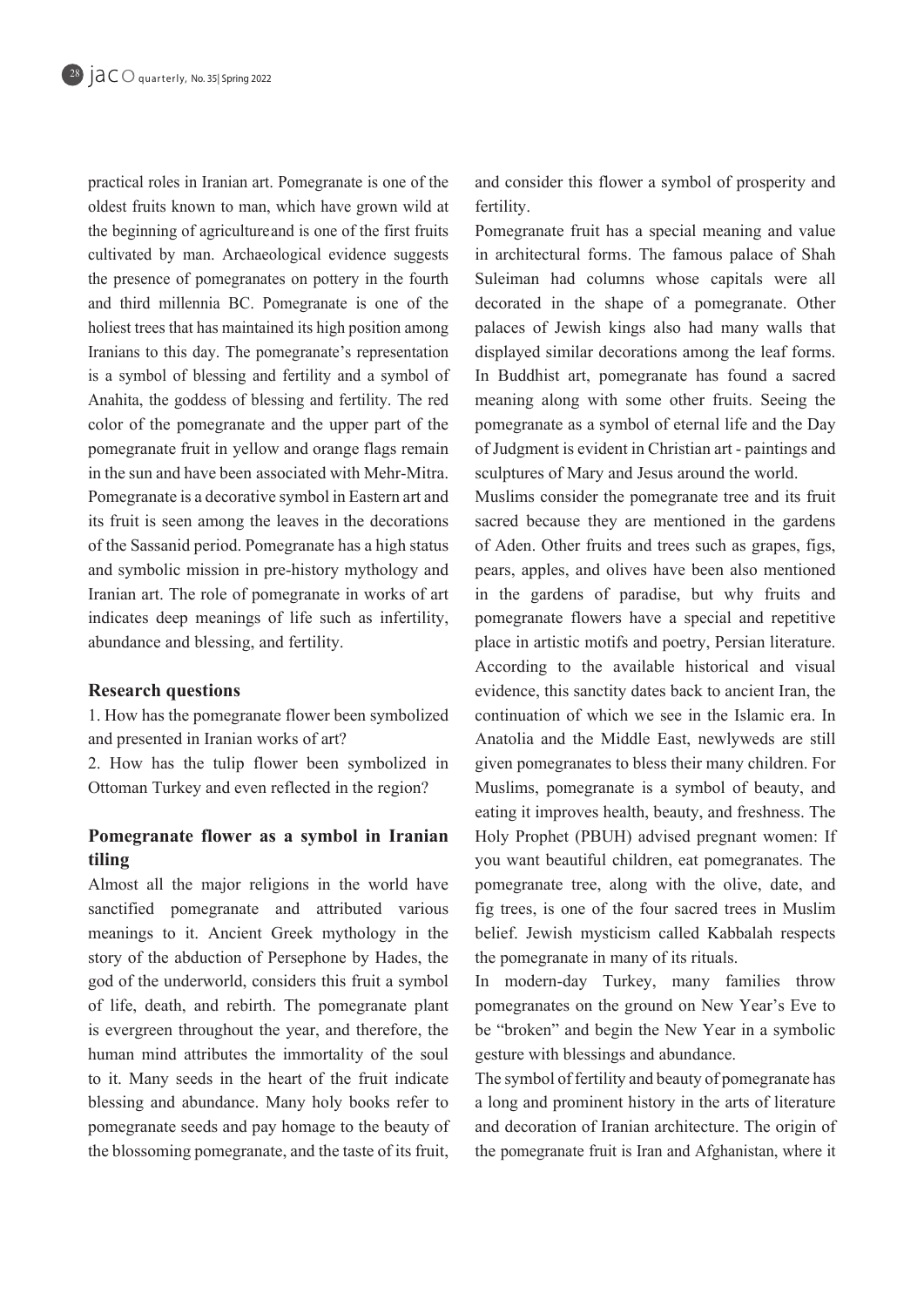practical roles in Iranian art. Pomegranate is one of the oldest fruits known to man, which have grown wild at the beginning of agriculture and is one of the first fruits cultivated by man. Archaeological evidence suggests the presence of pomegranates on pottery in the fourth and third millennia BC. Pomegranate is one of the holiest trees that has maintained its high position among Iranians to this day. The pomegranate's representation is a symbol of blessing and fertility and a symbol of Anahita, the goddess of blessing and fertility. The red color of the pomegranate and the upper part of the pomegranate fruit in yellow and orange flags remain in the sun and have been associated with Mehr-Mitra. Pomegranate is a decorative symbol in Eastern art and its fruit is seen among the leaves in the decorations of the Sassanid period. Pomegranate has a high status and symbolic mission in pre-history mythology and Iranian art. The role of pomegranate in works of art indicates deep meanings of life such as infertility, abundance and blessing, and fertility.

#### **Research questions**

1. How has the pomegranate flower been symbolized and presented in Iranian works of art?

2. How has the tulip flower been symbolized in Ottoman Turkey and even reflected in the region?

# **Pomegranate flower as a symbol in Iranian tiling**

Almost all the major religions in the world have sanctified pomegranate and attributed various meanings to it. Ancient Greek mythology in the story of the abduction of Persephone by Hades, the god of the underworld, considers this fruit a symbol of life, death, and rebirth. The pomegranate plant is evergreen throughout the year, and therefore, the human mind attributes the immortality of the soul to it. Many seeds in the heart of the fruit indicate blessing and abundance. Many holy books refer to pomegranate seeds and pay homage to the beauty of the blossoming pomegranate, and the taste of its fruit, and consider this flower a symbol of prosperity and fertility.

Pomegranate fruit has a special meaning and value in architectural forms. The famous palace of Shah Suleiman had columns whose capitals were all decorated in the shape of a pomegranate. Other palaces of Jewish kings also had many walls that displayed similar decorations among the leaf forms. In Buddhist art, pomegranate has found a sacred meaning along with some other fruits. Seeing the pomegranate as a symbol of eternal life and the Day of Judgment is evident in Christian art - paintings and sculptures of Mary and Jesus around the world.

Muslims consider the pomegranate tree and its fruit sacred because they are mentioned in the gardens of Aden. Other fruits and trees such as grapes, figs, pears, apples, and olives have been also mentioned in the gardens of paradise, but why fruits and pomegranate flowers have a special and repetitive place in artistic motifs and poetry, Persian literature. According to the available historical and visual evidence, this sanctity dates back to ancient Iran, the continuation of which we see in the Islamic era. In Anatolia and the Middle East, newlyweds are still given pomegranates to bless their many children. For Muslims, pomegranate is a symbol of beauty, and eating it improves health, beauty, and freshness. The Holy Prophet (PBUH) advised pregnant women: If you want beautiful children, eat pomegranates. The pomegranate tree, along with the olive, date, and fig trees, is one of the four sacred trees in Muslim belief. Jewish mysticism called Kabbalah respects the pomegranate in many of its rituals.

In modern-day Turkey, many families throw pomegranates on the ground on New Year's Eve to be "broken" and begin the New Year in a symbolic gesture with blessings and abundance.

The symbol of fertility and beauty of pomegranate has a long and prominent history in the arts of literature and decoration of Iranian architecture. The origin of the pomegranate fruit is Iran and Afghanistan, where it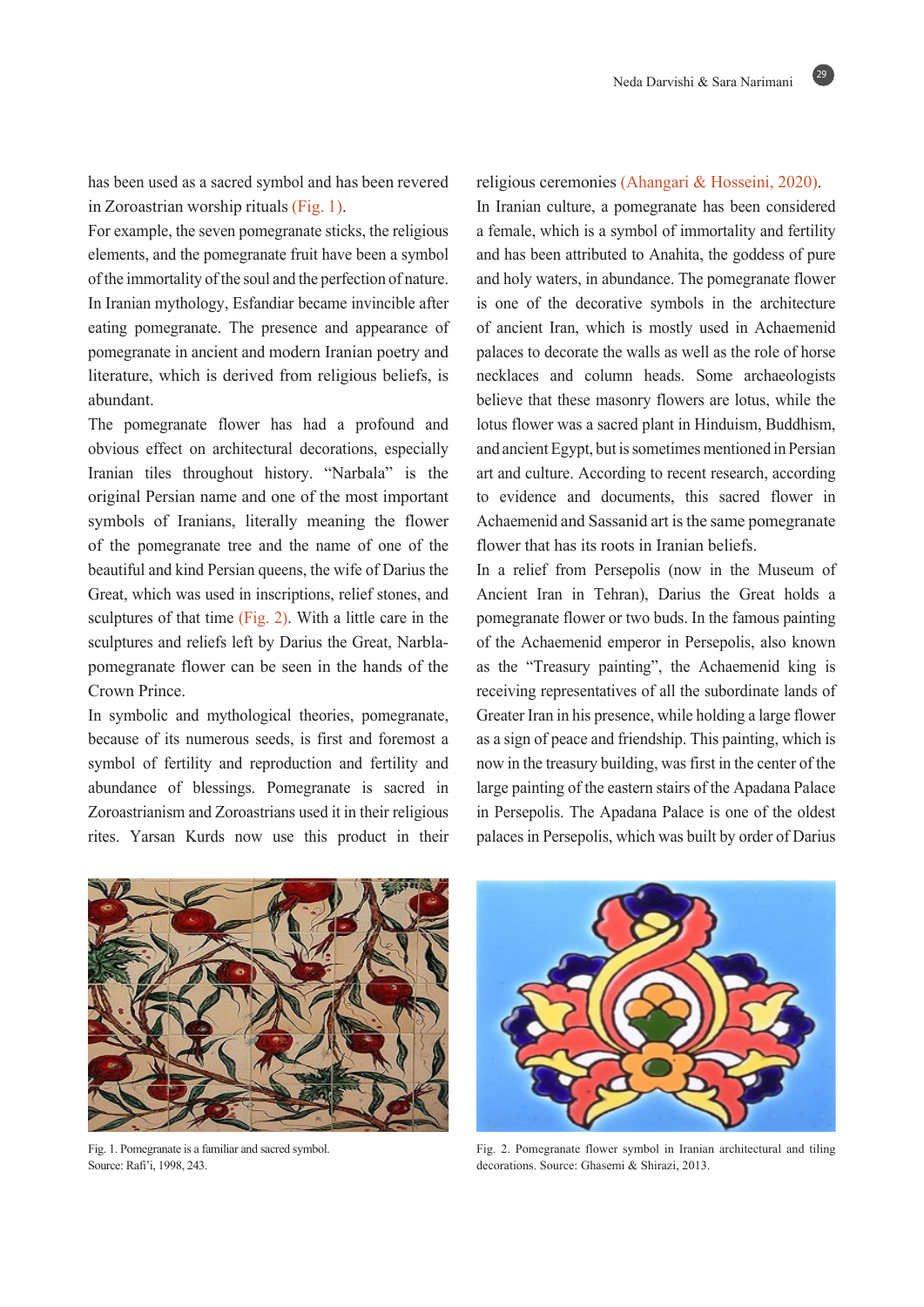29

has been used as a sacred symbol and has been revered in Zoroastrian worship rituals  $(Fig. 1)$ .

For example, the seven pomegranate sticks, the religious elements, and the pomegranate fruit have been a symbol of the immortality of the soul and the perfection of nature. In Iranian mythology, Esfandiar became invincible after eating pomegranate. The presence and appearance of pomegranate in ancient and modern Iranian poetry and literature, which is derived from religious beliefs, is .abundant

The pomegranate flower has had a profound and obvious effect on architectural decorations, especially Iranian tiles throughout history. "Narbala" is the original Persian name and one of the most important symbols of Iranians, literally meaning the flower of the pomegranate tree and the name of one of the beautiful and kind Persian queens, the wife of Darius the Great, which was used in inscriptions, relief stones, and sculptures of that time (Fig. 2). With a little care in the pomegranate flower can be seen in the hands of the sculptures and reliefs left by Darius the Great, Narbla-Crown Prince.

In symbolic and mythological theories, pomegranate, because of its numerous seeds, is first and foremost a symbol of fertility and reproduction and fertility and abundance of blessings. Pomegranate is sacred in Zoroastrianism and Zoroastrians used it in their religious rites. Yarsan Kurds now use this product in their

#### religious ceremonies (Ahangari & Hosseini, 2020).

In Iranian culture, a pomegranate has been considered a female, which is a symbol of immortality and fertility and has been attributed to Anahita, the goddess of pure and holy waters, in abundance. The pomegranate flower is one of the decorative symbols in the architecture of ancient Iran, which is mostly used in Achaemenid palaces to decorate the walls as well as the role of horse necklaces and column heads. Some archaeologists believe that these masonry flowers are lotus, while the lotus flower was a sacred plant in Hinduism, Buddhism, and ancient Egypt, but is sometimes mentioned in Persian art and culture. According to recent research, according to evidence and documents, this sacred flower in Achaemenid and Sassanid art is the same pomegranate flower that has its roots in Iranian beliefs.

In a relief from Persepolis (now in the Museum of Ancient Iran in Tehran), Darius the Great holds a pomegranate flower or two buds. In the famous painting of the Achaemenid emperor in Persepolis, also known as the "Treasury painting", the Achaemenid king is receiving representatives of all the subordinate lands of Greater Iran in his presence, while holding a large flower as a sign of peace and friendship. This painting, which is now in the treasury building, was first in the center of the large painting of the eastern stairs of the Apadana Palace in Persepolis. The Apadana Palace is one of the oldest palaces in Persepolis, which was built by order of Darius



Fig. 1. Pomegranate is a familiar and sacred symbol. Source: Rafi'i, 1998, 243.



Fig. 2. Pomegranate flower symbol in Iranian architectural and tiling decorations. Source: Ghasemi & Shirazi, 2013.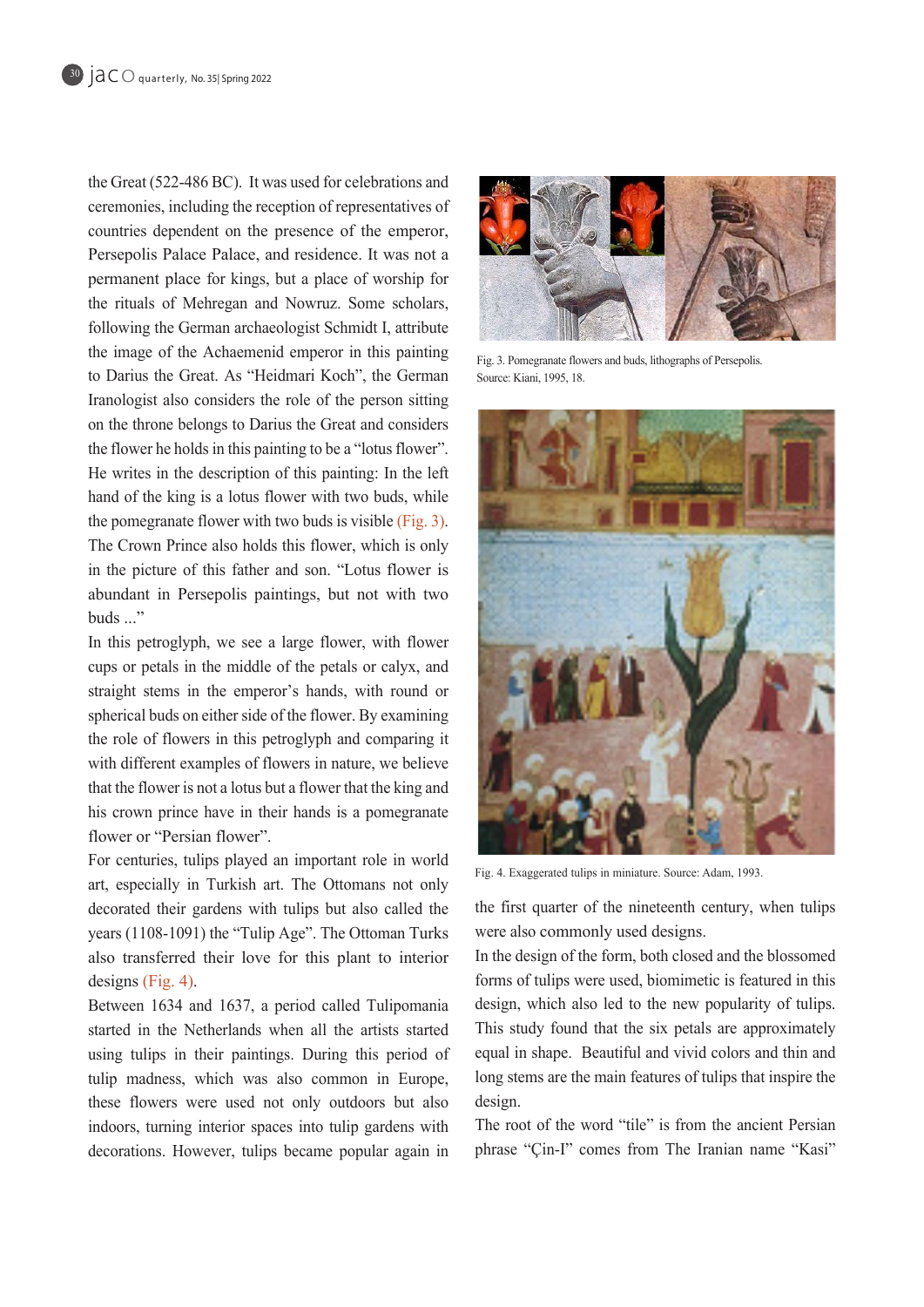the Great  $(522-486 \text{ BC})$ . It was used for celebrations and ceremonies, including the reception of representatives of countries dependent on the presence of the emperor, Persepolis Palace Palace, and residence. It was not a permanent place for kings, but a place of worship for the rituals of Mehregan and Nowruz. Some scholars, following the German archaeologist Schmidt I, attribute the image of the Achaemenid emperor in this painting to Darius the Great. As "Heidmari Koch", the German Iranologist also considers the role of the person sitting on the throne belongs to Darius the Great and considers the flower he holds in this painting to be a "lotus flower". He writes in the description of this painting: In the left hand of the king is a lotus flower with two buds, while the pomegranate flower with two buds is visible  $(Fig. 3)$ . The Crown Prince also holds this flower, which is only in the picture of this father and son. "Lotus flower is abundant in Persepolis paintings, but not with two buds ..."

In this petroglyph, we see a large flower, with flower cups or petals in the middle of the petals or calyx, and straight stems in the emperor's hands, with round or spherical buds on either side of the flower. By examining the role of flowers in this petroglyph and comparing it with different examples of flowers in nature, we believe that the flower is not a lotus but a flower that the king and his crown prince have in their hands is a pomegranate flower or "Persian flower".

For centuries, tulips played an important role in world art, especially in Turkish art. The Ottomans not only decorated their gardens with tulips but also called the years  $(1108-1091)$  the "Tulip Age". The Ottoman Turks also transferred their love for this plant to interior designs (Fig. 4).

Between 1634 and 1637, a period called Tulipomania started in the Netherlands when all the artists started using tulips in their paintings. During this period of tulip madness, which was also common in Europe, these flowers were used not only outdoors but also indoors, turning interior spaces into tulip gardens with decorations. However, tulips became popular again in



Fig. 3. Pomegranate flowers and buds, lithographs of Persepolis. Source: Kiani, 1995, 18.



Fig. 4. Exaggerated tulips in miniature. Source: Adam, 1993.

the first quarter of the nineteenth century, when tulips were also commonly used designs.

In the design of the form, both closed and the blossomed forms of tulips were used, biomimetic is featured in this design, which also led to the new popularity of tulips. This study found that the six petals are approximately equal in shape. Beautiful and vivid colors and thin and long stems are the main features of tulips that inspire the design.

The root of the word "tile" is from the ancient Persian phrase "Cin-I" comes from The Iranian name "Kasi"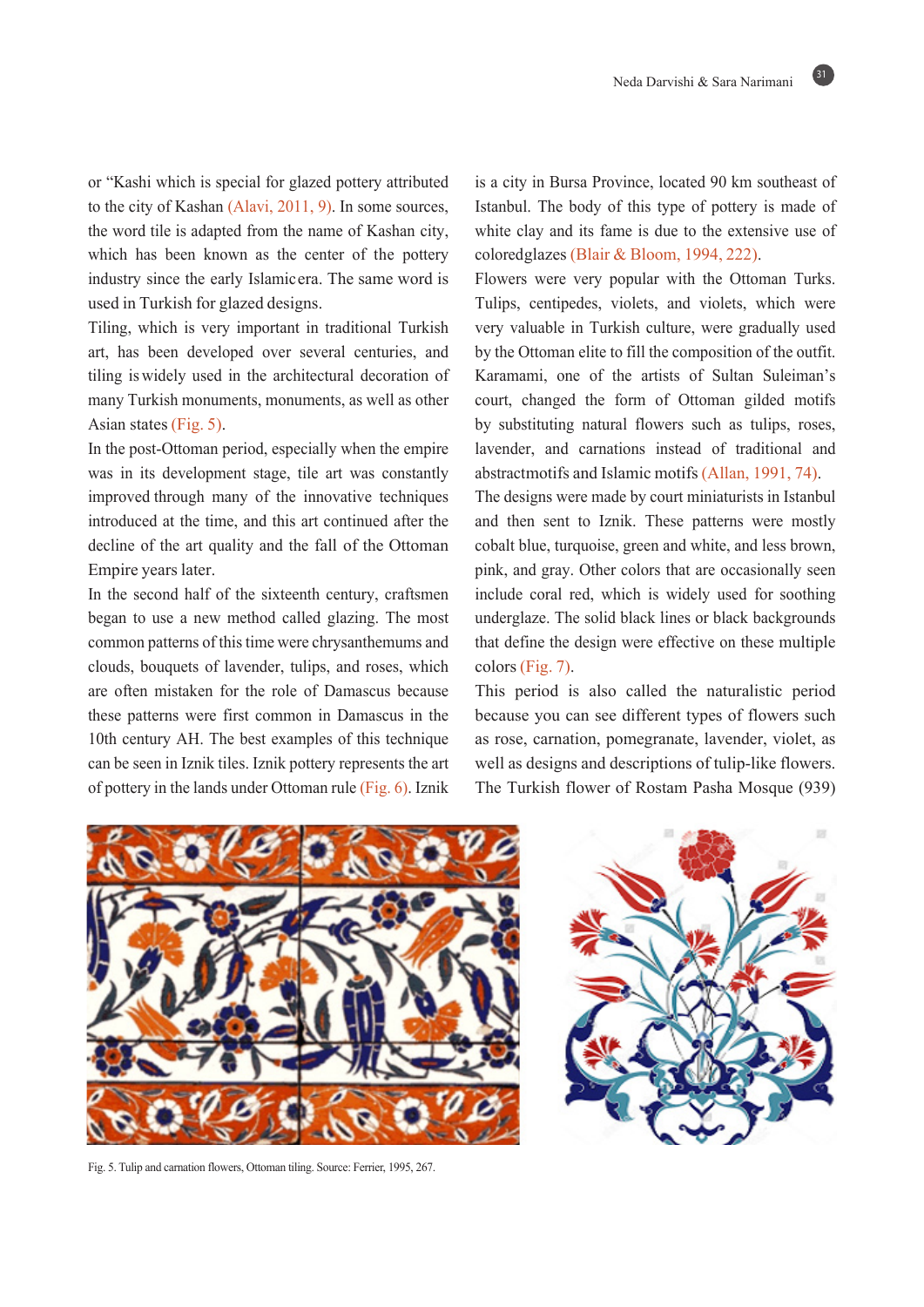31

or "Kashi which is special for glazed pottery attributed to the city of Kashan  $(Alavi, 2011, 9)$ . In some sources, the word tile is adapted from the name of Kashan city, which has been known as the center of the pottery industry since the early Islamic era. The same word is used in Turkish for glazed designs.

Tiling, which is very important in traditional Turkish art, has been developed over several centuries, and tiling is widely used in the architectural decoration of many Turkish monuments, monuments, as well as other Asian states  $(Fig. 5)$ .

In the post-Ottoman period, especially when the empire was in its development stage, tile art was constantly improved through many of the innovative techniques introduced at the time, and this art continued after the decline of the art quality and the fall of the Ottoman Empire years later.

In the second half of the sixteenth century, craftsmen began to use a new method called glazing. The most common patterns of this time were chrysanthemums and clouds, bouquets of lavender, tulips, and roses, which are often mistaken for the role of Damascus because these patterns were first common in Damascus in the 10th century AH. The best examples of this technique can be seen in Iznik tiles. Iznik pottery represents the art of pottery in the lands under Ottoman rule (Fig. 6). Iznik

is a city in Bursa Province, located 90 km southeast of Istanbul. The body of this type of pottery is made of white clay and its fame is due to the extensive use of  $colored$ glazes (Blair & Bloom, 1994, 222).

Flowers were very popular with the Ottoman Turks. Tulips, centipedes, violets, and violets, which were very valuable in Turkish culture, were gradually used by the Ottoman elite to fill the composition of the outfit. Karamami, one of the artists of Sultan Suleiman's court, changed the form of Ottoman gilded motifs by substituting natural flowers such as tulips, roses, lavender, and carnations instead of traditional and abstractmotifs and Islamic motifs (Allan, 1991, 74).

The designs were made by court miniaturists in Istanbul and then sent to Iznik. These patterns were mostly cobalt blue, turquoise, green and white, and less brown, pink, and gray. Other colors that are occasionally seen include coral red, which is widely used for soothing underglaze. The solid black lines or black backgrounds that define the design were effective on these multiple colors (Fig.  $7$ ).

This period is also called the naturalistic period because you can see different types of flowers such as rose, carnation, pomegranate, lavender, violet, as well as designs and descriptions of tulip-like flowers. The Turkish flower of Rostam Pasha Mosque (939)



Fig. 5. Tulip and carnation flowers, Ottoman tiling. Source: Ferrier, 1995, 267.

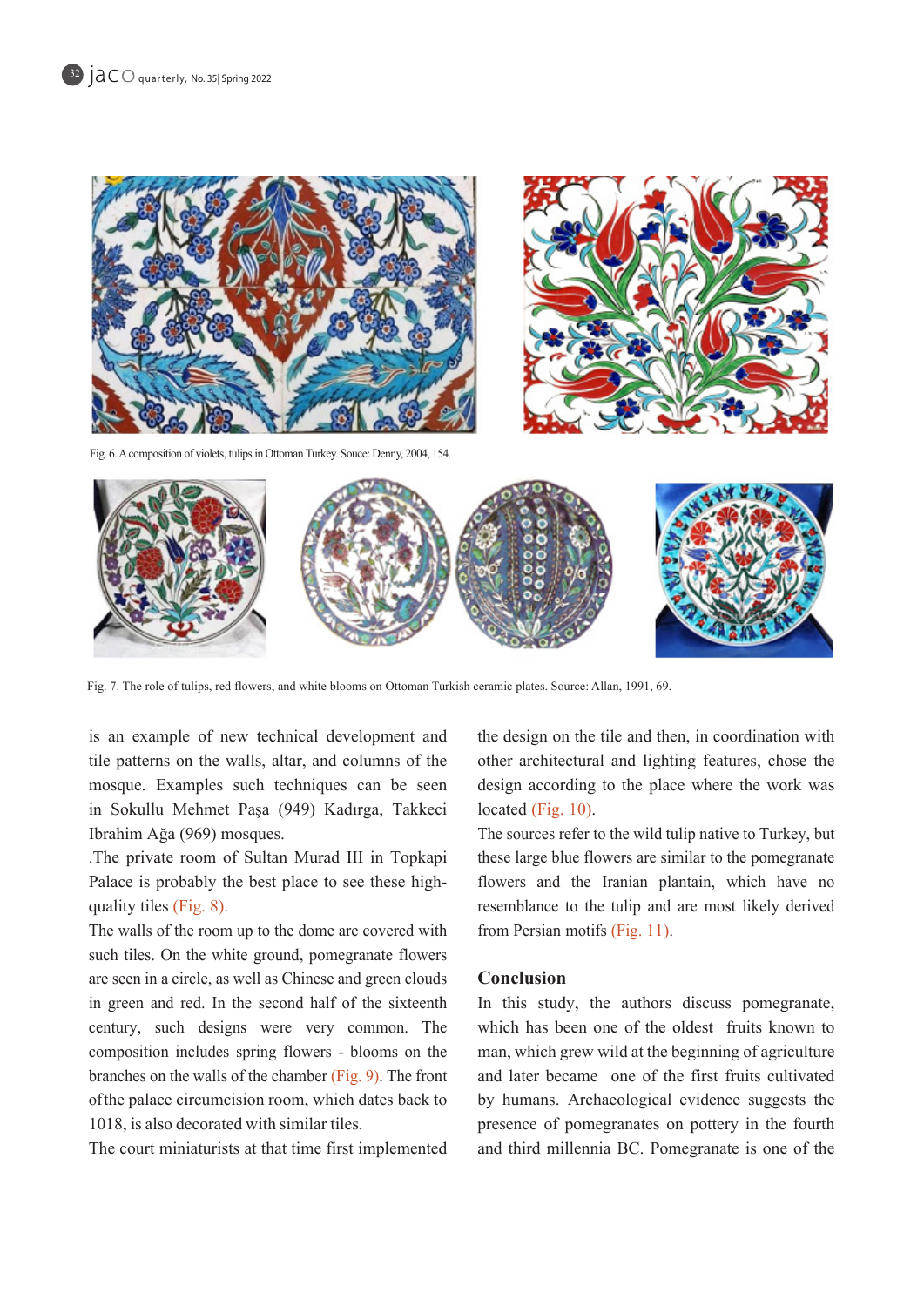

Fig. 6. A composition of violets, tulips in Ottoman Turkey. Souce: Denny, 2004, 154.



Fig. 7. The role of tulips, red flowers, and white blooms on Ottoman Turkish ceramic plates. Source: Allan, 1991, 69.

is an example of new technical development and tile patterns on the walls, altar, and columns of the mosque. Examples such techniques can be seen in Sokullu Mehmet Paşa (949) Kadırga, Takkeci Ibrahim Ağa (969) mosques.

The private room of Sultan Murad III in Topkapi Palace is probably the best place to see these high-<br>quality tiles (Fig. 8).

The walls of the room up to the dome are covered with such tiles. On the white ground, pomegranate flowers are seen in a circle, as well as Chinese and green clouds in green and red. In the second half of the sixteenth century, such designs were very common. The composition includes spring flowers - blooms on the branches on the walls of the chamber (Fig. 9). The front of the palace circumcision room, which dates back to 1018, is also decorated with similar tiles.

The court miniaturists at that time first implemented

the design on the tile and then, in coordination with other architectural and lighting features, chose the design according to the place where the work was located (Fig.  $10$ ).

The sources refer to the wild tulip native to Turkey, but these large blue flowers are similar to the pomegranate flowers and the Iranian plantain, which have no resemblance to the tulip and are most likely derived from Persian motifs  $(Fig. 11)$ .

## **Conclusion**

In this study, the authors discuss pomegranate, which has been one of the oldest fruits known to man, which grew wild at the beginning of agriculture and later became one of the first fruits cultivated by humans. Archaeological evidence suggests the presence of pomegranates on pottery in the fourth and third millennia BC. Pomegranate is one of the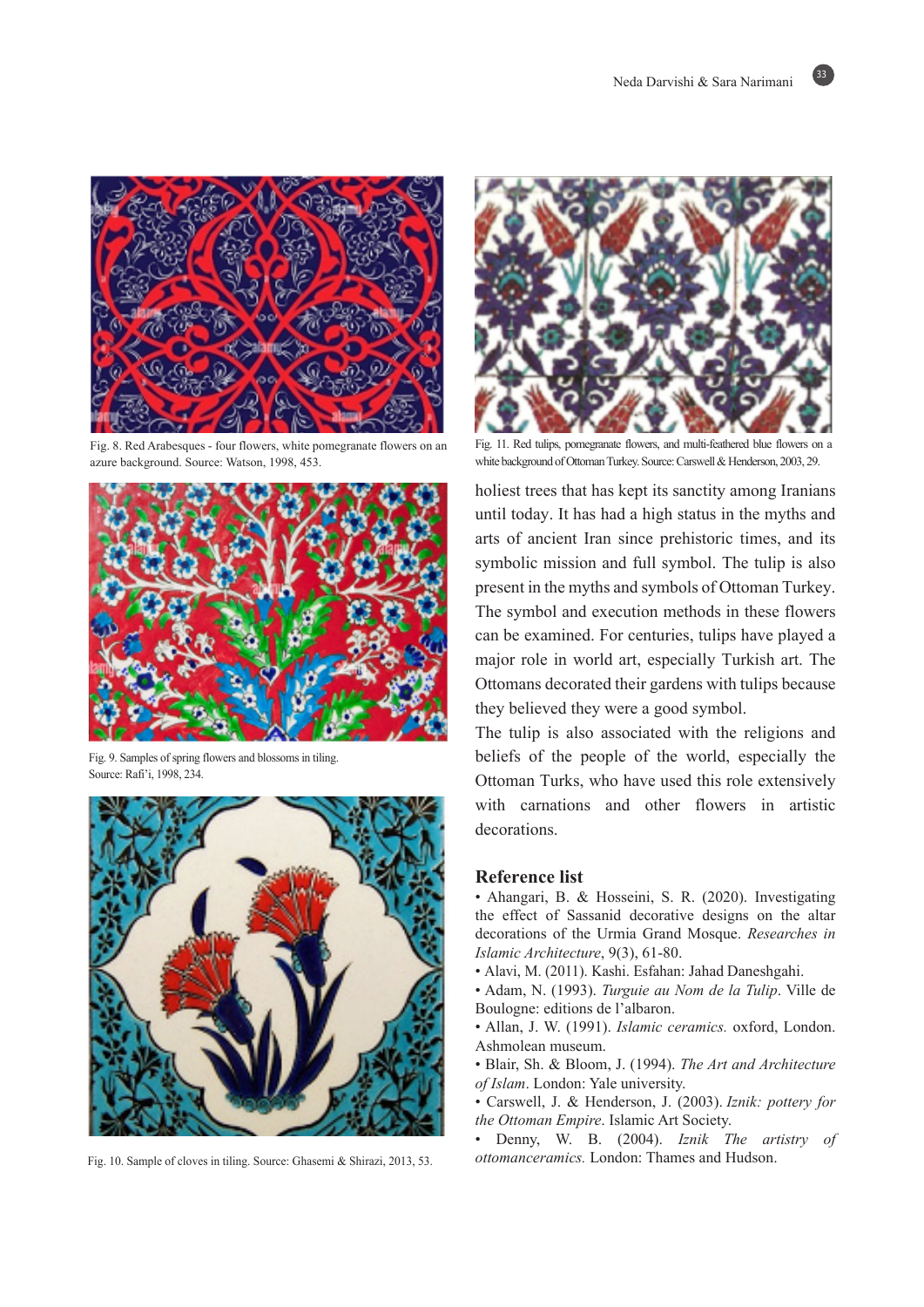$33<sup>°</sup>$ 



Fig. 8. Red Arabesques - four flowers, white pomegranate flowers on an azure background. Source: Watson, 1998, 453.



Fig. 9. Samples of spring flowers and blossoms in tiling. Source: Rafi'i, 1998, 234.



Fig. 10. Sample of cloves in tiling. Source: Ghasemi & Shirazi, 2013, 53.



Fig. 11. Red tulips, pomegranate flowers, and multi-feathered-blue flowers on a white background of Ottoman Turkey. Source: Carswell & Henderson, 2003, 29.

holiest trees that has kept its sanctity among Iranians until today. It has had a high status in the myths and arts of ancient Iran since prehistoric times, and its symbolic mission and full symbol. The tulip is also present in the myths and symbols of Ottoman Turkey. The symbol and execution methods in these flowers can be examined. For centuries, tulips have played a major role in world art, especially Turkish art. The Ottomans decorated their gardens with tulips because they believed they were a good symbol.

The tulip is also associated with the religions and beliefs of the people of the world, especially the Ottoman Turks, who have used this role extensively with carnations and other flowers in artistic .decorations

#### **Reference** list

- Ahangari, B. & Hosseini, S. R. (2020). Investigating the effect of Sassanid decorative designs on the altar decorations of the Urmia Grand Mosque. Researches in Islamic Architecture, 9(3), 61-80.
- Alavi, M. (2011). Kashi. Esfahan: Jahad Daneshgahi.
- Adam, N. (1993). Turguie au Nom de la Tulip. Ville de Boulogne: editions de l'albaron.
- Allan, J. W. (1991). *Islamic ceramics*. oxford, London. Ashmolean museum.
- Blair, Sh. & Bloom, J. (1994). The Art and Architecture of Islam. London: Yale university.
- Carswell, J. & Henderson, J. (2003). *Iznik: pottery for* the Ottoman Empire. Islamic Art Society.
- Denny, W. B. (2004). *Iznik The artistry of* ottomanceramics. London: Thames and Hudson.